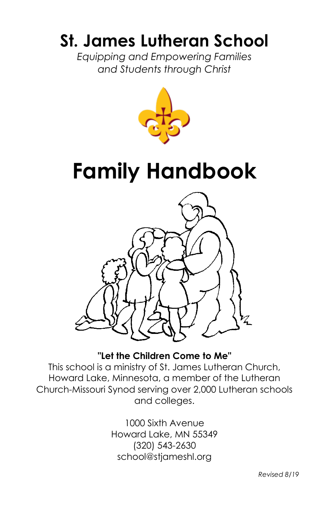# **St. James Lutheran School**

*Equipping and Empowering Families and Students through Christ*



# **Family Handbook**



# **"Let the Children Come to Me"**

This school is a ministry of St. James Lutheran Church, Howard Lake, Minnesota, a member of the Lutheran Church-Missouri Synod serving over 2,000 Lutheran schools and colleges.

> 1000 Sixth Avenue Howard Lake, MN 55349 (320) 543-2630 school@stjameshl.org

> > *Revised 8/19*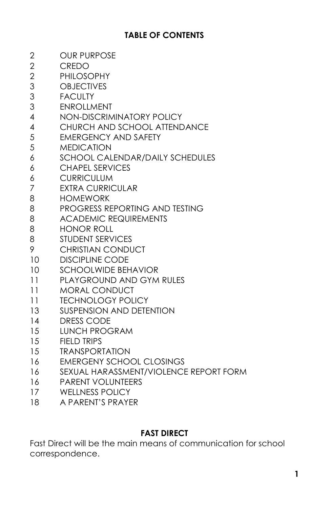# **TABLE OF CONTENTS**

| 2              | <b>OUR PURPOSE</b>                     |
|----------------|----------------------------------------|
| $\overline{2}$ | <b>CREDO</b>                           |
| 2              | <b>PHILOSOPHY</b>                      |
| 3              | <b>OBJECTIVES</b>                      |
| 3              | <b>FACULTY</b>                         |
| 3              | <b>ENROLLMENT</b>                      |
| 4              | <b>NON-DISCRIMINATORY POLICY</b>       |
| 4              | CHURCH AND SCHOOL ATTENDANCE           |
| 5              | <b>EMERGENCY AND SAFETY</b>            |
| 5              | <b>MEDICATION</b>                      |
| 6              | <b>SCHOOL CALENDAR/DAILY SCHEDULES</b> |
| 6              | <b>CHAPEL SERVICES</b>                 |
| 6              | <b>CURRICULUM</b>                      |
| 7              | <b>EXTRA CURRICULAR</b>                |
| 8              | <b>HOMEWORK</b>                        |
| 8              | PROGRESS REPORTING AND TESTING         |
| 8              | <b>ACADEMIC REQUIREMENTS</b>           |
| 8              | <b>HONOR ROLL</b>                      |
| 8              | <b>STUDENT SERVICES</b>                |
| 9              | <b>CHRISTIAN CONDUCT</b>               |
| 10             | <b>DISCIPLINE CODE</b>                 |
| 10             | <b>SCHOOLWIDE BEHAVIOR</b>             |
| 11             | <b>PLAYGROUND AND GYM RULES</b>        |
| 11             | <b>MORAL CONDUCT</b>                   |
| 11             | <b>TECHNOLOGY POLICY</b>               |
| 13             | <b>SUSPENSION AND DETENTION</b>        |
| 14             | <b>DRESS CODE</b>                      |
| 15             | <b>LUNCH PROGRAM</b>                   |
| 15             | <b>FIELD TRIPS</b>                     |
| 15             | <b>TRANSPORTATION</b>                  |
| 16             | <b>EMERGENY SCHOOL CLOSINGS</b>        |
| 16             | SEXUAL HARASSMENT/VIOLENCE REPORT FORM |
| 16             | <b>PARENT VOLUNTEERS</b>               |
| 17             | <b>WELLNESS POLICY</b>                 |
| 10             | A DADENITIC DDAVED                     |

#### A PARENT'S PRAYER

# **FAST DIRECT**

Fast Direct will be the main means of communication for school correspondence.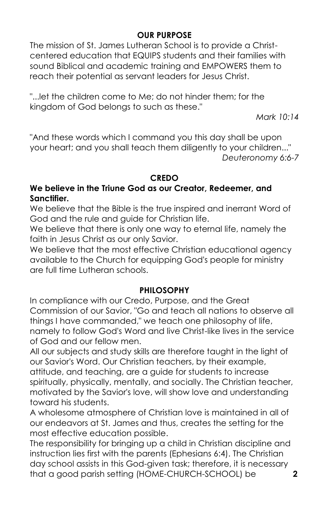# **OUR PURPOSE**

The mission of St. James Lutheran School is to provide a Christcentered education that EQUIPS students and their families with sound Biblical and academic training and EMPOWERS them to reach their potential as servant leaders for Jesus Christ.

"...let the children come to Me; do not hinder them; for the kingdom of God belongs to such as these."

*Mark 10:14* 

"And these words which I command you this day shall be upon your heart; and you shall teach them diligently to your children..." *Deuteronomy 6:6-7* 

#### **CREDO**

#### **We believe in the Triune God as our Creator, Redeemer, and Sanctifier.**

We believe that the Bible is the true inspired and inerrant Word of God and the rule and guide for Christian life.

We believe that there is only one way to eternal life, namely the faith in Jesus Christ as our only Savior.

We believe that the most effective Christian educational agency available to the Church for equipping God's people for ministry are full time Lutheran schools.

#### **PHILOSOPHY**

In compliance with our Credo, Purpose, and the Great Commission of our Savior, "Go and teach all nations to observe all things I have commanded," we teach one philosophy of life, namely to follow God's Word and live Christ-like lives in the service of God and our fellow men.

All our subjects and study skills are therefore taught in the light of our Savior's Word. Our Christian teachers, by their example, attitude, and teaching, are a guide for students to increase spiritually, physically, mentally, and socially. The Christian teacher, motivated by the Savior's love, will show love and understanding toward his students.

A wholesome atmosphere of Christian love is maintained in all of our endeavors at St. James and thus, creates the setting for the most effective education possible.

The responsibility for bringing up a child in Christian discipline and instruction lies first with the parents (Ephesians 6:4). The Christian day school assists in this God-given task; therefore, it is necessary that a good parish setting (HOME-CHURCH-SCHOOL) be **2**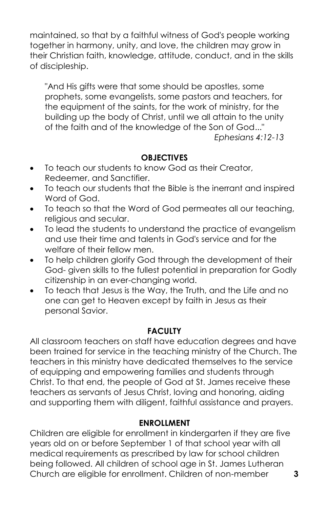maintained, so that by a faithful witness of God's people working together in harmony, unity, and love, the children may grow in their Christian faith, knowledge, attitude, conduct, and in the skills of discipleship.

"And His gifts were that some should be apostles, some prophets, some evangelists, some pastors and teachers, for the equipment of the saints, for the work of ministry, for the building up the body of Christ, until we all attain to the unity of the faith and of the knowledge of the Son of God..."

*Ephesians 4:12-13* 

#### **OBJECTIVES**

- To teach our students to know God as their Creator, Redeemer, and Sanctifier.
- To teach our students that the Bible is the inerrant and inspired Word of God.
- To teach so that the Word of God permeates all our teaching, religious and secular.
- To lead the students to understand the practice of evangelism and use their time and talents in God's service and for the welfare of their fellow men.
- To help children glorify God through the development of their God- given skills to the fullest potential in preparation for Godly citizenship in an ever-changing world.
- To teach that Jesus is the Way, the Truth, and the Life and no one can get to Heaven except by faith in Jesus as their personal Savior.

#### **FACULTY**

All classroom teachers on staff have education degrees and have been trained for service in the teaching ministry of the Church. The teachers in this ministry have dedicated themselves to the service of equipping and empowering families and students through Christ. To that end, the people of God at St. James receive these teachers as servants of Jesus Christ, loving and honoring, aiding and supporting them with diligent, faithful assistance and prayers.

#### **ENROLLMENT**

Children are eligible for enrollment in kindergarten if they are five years old on or before September 1 of that school year with all medical requirements as prescribed by law for school children being followed. All children of school age in St. James Lutheran Church are eligible for enrollment. Children of non-member **3**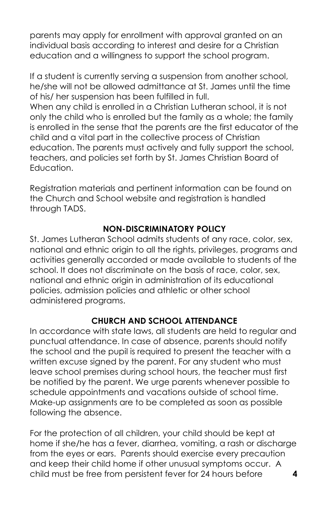parents may apply for enrollment with approval granted on an individual basis according to interest and desire for a Christian education and a willingness to support the school program.

If a student is currently serving a suspension from another school, he/she will not be allowed admittance at St. James until the time of his/ her suspension has been fulfilled in full.

When any child is enrolled in a Christian Lutheran school, it is not only the child who is enrolled but the family as a whole; the family is enrolled in the sense that the parents are the first educator of the child and a vital part in the collective process of Christian education. The parents must actively and fully support the school, teachers, and policies set forth by St. James Christian Board of Education.

Registration materials and pertinent information can be found on the Church and School website and registration is handled through TADS.

#### **NON-DISCRIMINATORY POLICY**

St. James Lutheran School admits students of any race, color, sex, national and ethnic origin to all the rights, privileges, programs and activities generally accorded or made available to students of the school. It does not discriminate on the basis of race, color, sex, national and ethnic origin in administration of its educational policies, admission policies and athletic or other school administered programs.

# **CHURCH AND SCHOOL ATTENDANCE**

In accordance with state laws, all students are held to regular and punctual attendance. In case of absence, parents should notify the school and the pupil is required to present the teacher with a written excuse signed by the parent. For any student who must leave school premises during school hours, the teacher must first be notified by the parent. We urge parents whenever possible to schedule appointments and vacations outside of school time. Make-up assignments are to be completed as soon as possible following the absence.

For the protection of all children, your child should be kept at home if she/he has a fever, diarrhea, vomiting, a rash or discharge from the eyes or ears. Parents should exercise every precaution and keep their child home if other unusual symptoms occur. A child must be free from persistent fever for 24 hours before **4**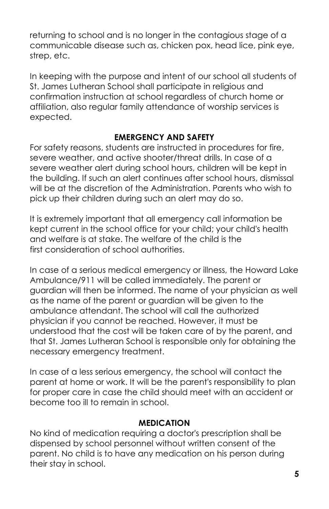returning to school and is no longer in the contagious stage of a communicable disease such as, chicken pox, head lice, pink eye, strep, etc.

In keeping with the purpose and intent of our school all students of St. James Lutheran School shall participate in religious and confirmation instruction at school regardless of church home or affiliation, also regular family attendance of worship services is expected.

#### **EMERGENCY AND SAFETY**

For safety reasons, students are instructed in procedures for fire, severe weather, and active shooter/threat drills. In case of a severe weather alert during school hours, children will be kept in the building. If such an alert continues after school hours, dismissal will be at the discretion of the Administration. Parents who wish to pick up their children during such an alert may do so.

It is extremely important that all emergency call information be kept current in the school office for your child; your child's health and welfare is at stake. The welfare of the child is the first consideration of school authorities.

In case of a serious medical emergency or illness, the Howard Lake Ambulance/911 will be called immediately. The parent or guardian will then be informed. The name of your physician as well as the name of the parent or guardian will be given to the ambulance attendant. The school will call the authorized physician if you cannot be reached. However, it must be understood that the cost will be taken care of by the parent, and that St. James Lutheran School is responsible only for obtaining the necessary emergency treatment.

In case of a less serious emergency, the school will contact the parent at home or work. It will be the parent's responsibility to plan for proper care in case the child should meet with an accident or become too ill to remain in school.

#### **MEDICATION**

No kind of medication requiring a doctor's prescription shall be dispensed by school personnel without written consent of the parent. No child is to have any medication on his person during their stay in school.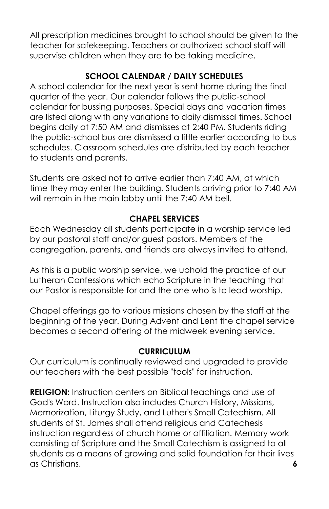All prescription medicines brought to school should be given to the teacher for safekeeping. Teachers or authorized school staff will supervise children when they are to be taking medicine.

# **SCHOOL CALENDAR / DAILY SCHEDULES**

A school calendar for the next year is sent home during the final quarter of the year. Our calendar follows the public-school calendar for bussing purposes. Special days and vacation times are listed along with any variations to daily dismissal times. School begins daily at 7:50 AM and dismisses at 2:40 PM. Students riding the public-school bus are dismissed a little earlier according to bus schedules. Classroom schedules are distributed by each teacher to students and parents.

Students are asked not to arrive earlier than 7:40 AM, at which time they may enter the building. Students arriving prior to 7:40 AM will remain in the main lobby until the 7:40 AM bell.

# **CHAPEL SERVICES**

Each Wednesday all students participate in a worship service led by our pastoral staff and/or guest pastors. Members of the congregation, parents, and friends are always invited to attend.

As this is a public worship service, we uphold the practice of our Lutheran Confessions which echo Scripture in the teaching that our Pastor is responsible for and the one who is to lead worship.

Chapel offerings go to various missions chosen by the staff at the beginning of the year. During Advent and Lent the chapel service becomes a second offering of the midweek evening service.

# **CURRICULUM**

Our curriculum is continually reviewed and upgraded to provide our teachers with the best possible "tools" for instruction.

**RELIGION:** Instruction centers on Biblical teachings and use of God's Word. Instruction also includes Church History, Missions, Memorization, Liturgy Study, and Luther's Small Catechism. All students of St. James shall attend religious and Catechesis instruction regardless of church home or affiliation. Memory work consisting of Scripture and the Small Catechism is assigned to all students as a means of growing and solid foundation for their lives as Christians. **6**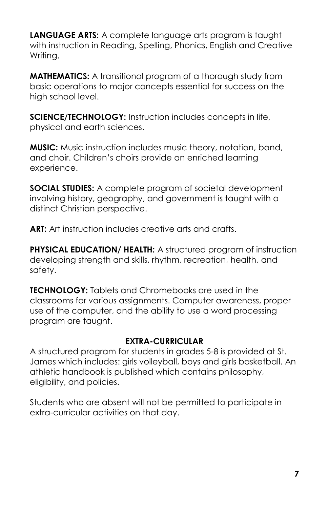**LANGUAGE ARTS:** A complete language arts program is taught with instruction in Reading, Spelling, Phonics, English and Creative Writing.

**MATHEMATICS:** A transitional program of a thorough study from basic operations to major concepts essential for success on the high school level.

**SCIENCE/TECHNOLOGY:** Instruction includes concepts in life, physical and earth sciences.

**MUSIC:** Music instruction includes music theory, notation, band, and choir. Children's choirs provide an enriched learning experience.

**SOCIAL STUDIES:** A complete program of societal development involving history, geography, and government is taught with a distinct Christian perspective.

**ART:** Art instruction includes creative arts and crafts.

**PHYSICAL EDUCATION/ HEALTH:** A structured program of instruction developing strength and skills, rhythm, recreation, health, and safety.

**TECHNOLOGY:** Tablets and Chromebooks are used in the classrooms for various assignments. Computer awareness, proper use of the computer, and the ability to use a word processing program are taught.

#### **EXTRA-CURRICULAR**

A structured program for students in grades 5-8 is provided at St. James which includes: girls volleyball, boys and girls basketball. An athletic handbook is published which contains philosophy, eligibility, and policies.

Students who are absent will not be permitted to participate in extra-curricular activities on that day.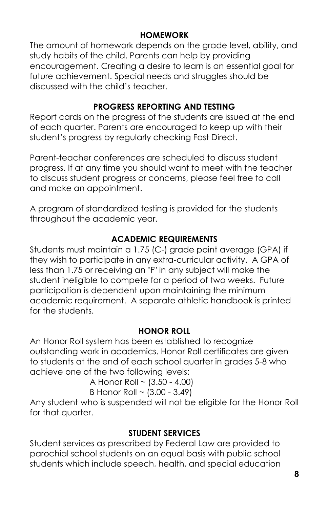# **HOMEWORK**

The amount of homework depends on the grade level, ability, and study habits of the child. Parents can help by providing encouragement. Creating a desire to learn is an essential goal for future achievement. Special needs and struggles should be discussed with the child's teacher.

# **PROGRESS REPORTING AND TESTING**

Report cards on the progress of the students are issued at the end of each quarter. Parents are encouraged to keep up with their student's progress by regularly checking Fast Direct.

Parent-teacher conferences are scheduled to discuss student progress. If at any time you should want to meet with the teacher to discuss student progress or concerns, please feel free to call and make an appointment.

A program of standardized testing is provided for the students throughout the academic year.

#### **ACADEMIC REQUIREMENTS**

Students must maintain a 1.75 (C-) grade point average (GPA) if they wish to participate in any extra-curricular activity. A GPA of less than 1.75 or receiving an "F" in any subject will make the student ineligible to compete for a period of two weeks. Future participation is dependent upon maintaining the minimum academic requirement. A separate athletic handbook is printed for the students.

#### **HONOR ROLL**

An Honor Roll system has been established to recognize outstanding work in academics. Honor Roll certificates are given to students at the end of each school quarter in grades 5-8 who achieve one of the two following levels:

A Honor Roll ~ (3.50 - 4.00)

B Honor Roll 
$$
\sim
$$
 (3.00 - 3.49)

Any student who is suspended will not be eligible for the Honor Roll for that quarter.

# **STUDENT SERVICES**

Student services as prescribed by Federal Law are provided to parochial school students on an equal basis with public school students which include speech, health, and special education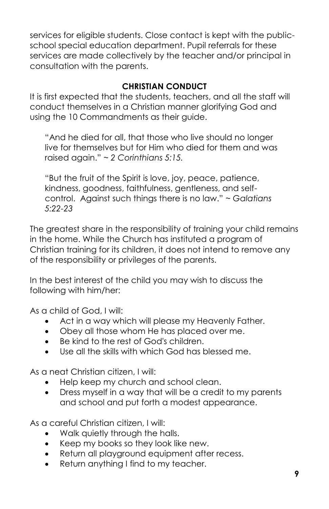services for eligible students. Close contact is kept with the publicschool special education department. Pupil referrals for these services are made collectively by the teacher and/or principal in consultation with the parents.

# **CHRISTIAN CONDUCT**

It is first expected that the students, teachers, and all the staff will conduct themselves in a Christian manner glorifying God and using the 10 Commandments as their guide.

"And he died for all, that those who live should no longer live for themselves but for Him who died for them and was raised again." *~ 2 Corinthians 5:15.*

"But the fruit of the Spirit is love, joy, peace, patience, kindness, goodness, faithfulness, gentleness, and selfcontrol. Against such things there is no law." *~ Galatians 5:22-23*

The greatest share in the responsibility of training your child remains in the home. While the Church has instituted a program of Christian training for its children, it does not intend to remove any of the responsibility or privileges of the parents.

In the best interest of the child you may wish to discuss the following with him/her:

As a child of God, I will:

- Act in a way which will please my Heavenly Father.
- Obey all those whom He has placed over me.
- Be kind to the rest of God's children.
- Use all the skills with which God has blessed me.

As a neat Christian citizen, I will:

- Help keep my church and school clean.
- Dress myself in a way that will be a credit to my parents and school and put forth a modest appearance.

As a careful Christian citizen, I will:

- Walk quietly through the halls.
- Keep my books so they look like new.
- Return all playground equipment after recess.
- Return anything I find to my teacher.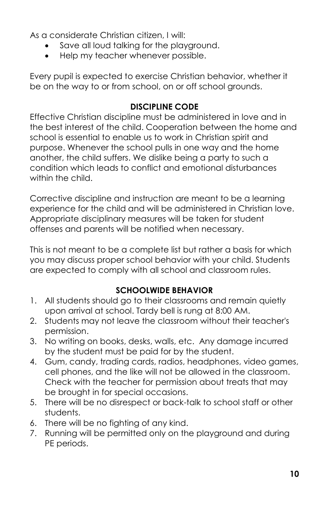As a considerate Christian citizen, I will:

- Save all loud talking for the playground.
- Help my teacher whenever possible.

Every pupil is expected to exercise Christian behavior, whether it be on the way to or from school, on or off school grounds.

#### **DISCIPLINE CODE**

Effective Christian discipline must be administered in love and in the best interest of the child. Cooperation between the home and school is essential to enable us to work in Christian spirit and purpose. Whenever the school pulls in one way and the home another, the child suffers. We dislike being a party to such a condition which leads to conflict and emotional disturbances within the child.

Corrective discipline and instruction are meant to be a learning experience for the child and will be administered in Christian love. Appropriate disciplinary measures will be taken for student offenses and parents will be notified when necessary.

This is not meant to be a complete list but rather a basis for which you may discuss proper school behavior with your child. Students are expected to comply with all school and classroom rules.

# **SCHOOLWIDE BEHAVIOR**

- 1. All students should go to their classrooms and remain quietly upon arrival at school. Tardy bell is rung at 8:00 AM.
- 2. Students may not leave the classroom without their teacher's permission.
- 3. No writing on books, desks, walls, etc. Any damage incurred by the student must be paid for by the student.
- 4. Gum, candy, trading cards, radios, headphones, video games, cell phones, and the like will not be allowed in the classroom. Check with the teacher for permission about treats that may be brought in for special occasions.
- 5. There will be no disrespect or back-talk to school staff or other students.
- 6. There will be no fighting of any kind.
- 7. Running will be permitted only on the playground and during PE periods.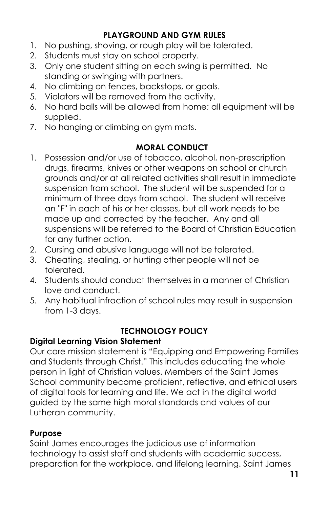# **PLAYGROUND AND GYM RULES**

- 1. No pushing, shoving, or rough play will be tolerated.
- 2. Students must stay on school property.
- 3. Only one student sitting on each swing is permitted. No standing or swinging with partners.
- 4. No climbing on fences, backstops, or goals.
- 5. Violators will be removed from the activity.
- 6. No hard balls will be allowed from home; all equipment will be supplied.
- 7. No hanging or climbing on gym mats.

# **MORAL CONDUCT**

- 1. Possession and/or use of tobacco, alcohol, non-prescription drugs, firearms, knives or other weapons on school or church grounds and/or at all related activities shall result in immediate suspension from school. The student will be suspended for a minimum of three days from school. The student will receive an "F" in each of his or her classes, but all work needs to be made up and corrected by the teacher. Any and all suspensions will be referred to the Board of Christian Education for any further action.
- 2. Cursing and abusive language will not be tolerated.
- 3. Cheating, stealing, or hurting other people will not be tolerated.
- 4. Students should conduct themselves in a manner of Christian love and conduct.
- 5. Any habitual infraction of school rules may result in suspension from 1-3 days.

# **TECHNOLOGY POLICY**

# **Digital Learning Vision Statement**

Our core mission statement is "Equipping and Empowering Families and Students through Christ." This includes educating the whole person in light of Christian values. Members of the Saint James School community become proficient, reflective, and ethical users of digital tools for learning and life. We act in the digital world guided by the same high moral standards and values of our Lutheran community.

#### **Purpose**

Saint James encourages the judicious use of information technology to assist staff and students with academic success, preparation for the workplace, and lifelong learning. Saint James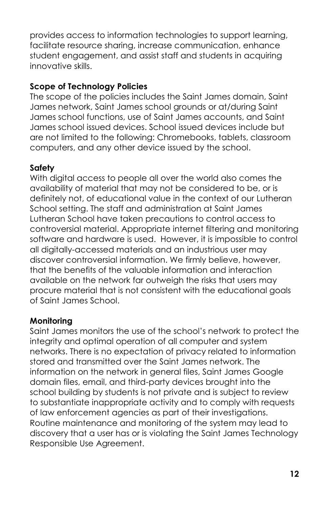provides access to information technologies to support learning, facilitate resource sharing, increase communication, enhance student engagement, and assist staff and students in acquiring innovative skills.

# **Scope of Technology Policies**

The scope of the policies includes the Saint James domain, Saint James network, Saint James school grounds or at/during Saint James school functions, use of Saint James accounts, and Saint James school issued devices. School issued devices include but are not limited to the following: Chromebooks, tablets, classroom computers, and any other device issued by the school.

# **Safety**

With digital access to people all over the world also comes the availability of material that may not be considered to be, or is definitely not, of educational value in the context of our Lutheran School setting. The staff and administration at Saint James Lutheran School have taken precautions to control access to controversial material. Appropriate internet filtering and monitoring software and hardware is used. However, it is impossible to control all digitally-accessed materials and an industrious user may discover controversial information. We firmly believe, however, that the benefits of the valuable information and interaction available on the network far outweigh the risks that users may procure material that is not consistent with the educational goals of Saint James School.

# **Monitoring**

Saint James monitors the use of the school's network to protect the integrity and optimal operation of all computer and system networks. There is no expectation of privacy related to information stored and transmitted over the Saint James network. The information on the network in general files, Saint James Google domain files, email, and third-party devices brought into the school building by students is not private and is subject to review to substantiate inappropriate activity and to comply with requests of law enforcement agencies as part of their investigations. Routine maintenance and monitoring of the system may lead to discovery that a user has or is violating the Saint James Technology Responsible Use Agreement.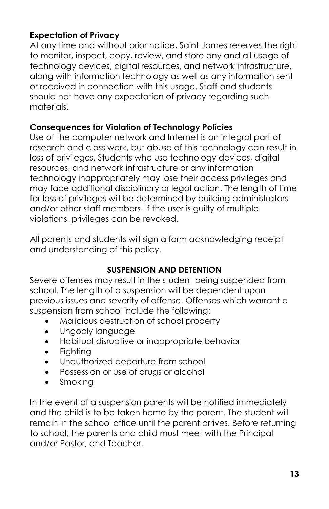# **Expectation of Privacy**

At any time and without prior notice, Saint James reserves the right to monitor, inspect, copy, review, and store any and all usage of technology devices, digital resources, and network infrastructure, along with information technology as well as any information sent or received in connection with this usage. Staff and students should not have any expectation of privacy regarding such materials.

#### **Consequences for Violation of Technology Policies**

Use of the computer network and Internet is an integral part of research and class work, but abuse of this technology can result in loss of privileges. Students who use technology devices, digital resources, and network infrastructure or any information technology inappropriately may lose their access privileges and may face additional disciplinary or legal action. The length of time for loss of privileges will be determined by building administrators and/or other staff members. If the user is guilty of multiple violations, privileges can be revoked.

All parents and students will sign a form acknowledging receipt and understanding of this policy.

#### **SUSPENSION AND DETENTION**

Severe offenses may result in the student being suspended from school. The length of a suspension will be dependent upon previous issues and severity of offense. Offenses which warrant a suspension from school include the following:

- Malicious destruction of school property
- Ungodly language
- Habitual disruptive or inappropriate behavior
- Fighting
- Unauthorized departure from school
- Possession or use of drugs or alcohol
- Smoking

In the event of a suspension parents will be notified immediately and the child is to be taken home by the parent. The student will remain in the school office until the parent arrives. Before returning to school, the parents and child must meet with the Principal and/or Pastor, and Teacher.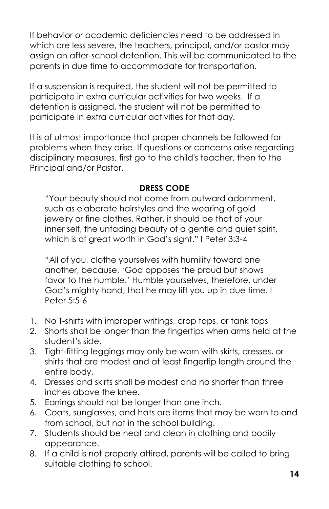If behavior or academic deficiencies need to be addressed in which are less severe, the teachers, principal, and/or pastor may assign an after-school detention. This will be communicated to the parents in due time to accommodate for transportation.

If a suspension is required, the student will not be permitted to participate in extra curricular activities for two weeks. If a detention is assigned, the student will not be permitted to participate in extra curricular activities for that day.

It is of utmost importance that proper channels be followed for problems when they arise. If questions or concerns arise regarding disciplinary measures, first go to the child's teacher, then to the Principal and/or Pastor.

#### **DRESS CODE**

"Your beauty should not come from outward adornment, such as elaborate hairstyles and the wearing of gold jewelry or fine clothes. Rather, it should be that of your inner self, the unfading beauty of a gentle and quiet spirit, which is of great worth in God's sight." I Peter 3:3-4

"All of you, clothe yourselves with humility toward one another, because, 'God opposes the proud but shows favor to the humble.' Humble yourselves, therefore, under God's mighty hand, that he may lift you up in due time. I Peter 5:5-6

- 1. No T-shirts with improper writings, crop tops, or tank tops
- 2. Shorts shall be longer than the fingertips when arms held at the student's side.
- 3. Tight-fitting leggings may only be worn with skirts, dresses, or shirts that are modest and at least fingertip length around the entire body.
- 4. Dresses and skirts shall be modest and no shorter than three inches above the knee.
- 5. Earrings should not be longer than one inch.
- 6. Coats, sunglasses, and hats are items that may be worn to and from school, but not in the school building.
- 7. Students should be neat and clean in clothing and bodily appearance.
- 8. If a child is not properly attired, parents will be called to bring suitable clothing to school.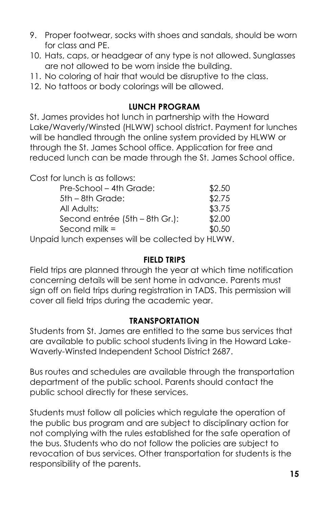- 9. Proper footwear, socks with shoes and sandals, should be worn for class and PE.
- 10. Hats, caps, or headgear of any type is not allowed. Sunglasses are not allowed to be worn inside the building.
- 11. No coloring of hair that would be disruptive to the class.
- 12. No tattoos or body colorings will be allowed.

#### **LUNCH PROGRAM**

St. James provides hot lunch in partnership with the Howard Lake/Waverly/Winsted (HLWW) school district. Payment for lunches will be handled through the online system provided by HLWW or through the St. James School office. Application for free and reduced lunch can be made through the St. James School office.

Cost for lunch is as follows:

| Pre-School - 4th Grade:        | \$2.50 |
|--------------------------------|--------|
| $5th - 8th$ Grade:             | \$2.75 |
| All Adults:                    | \$3.75 |
| Second entrée (5th – 8th Gr.): | \$2.00 |
| Second milk $=$                | \$0.50 |

Unpaid lunch expenses will be collected by HLWW.

#### **FIELD TRIPS**

Field trips are planned through the year at which time notification concerning details will be sent home in advance. Parents must sign off on field trips during registration in TADS. This permission will cover all field trips during the academic year.

#### **TRANSPORTATION**

Students from St. James are entitled to the same bus services that are available to public school students living in the Howard Lake-Waverly-Winsted Independent School District 2687.

Bus routes and schedules are available through the transportation department of the public school. Parents should contact the public school directly for these services.

Students must follow all policies which regulate the operation of the public bus program and are subject to disciplinary action for not complying with the rules established for the safe operation of the bus. Students who do not follow the policies are subject to revocation of bus services. Other transportation for students is the responsibility of the parents.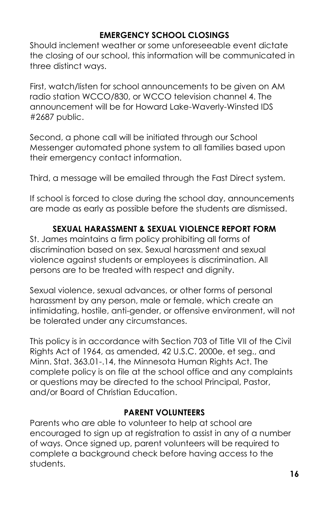# **EMERGENCY SCHOOL CLOSINGS**

Should inclement weather or some unforeseeable event dictate the closing of our school, this information will be communicated in three distinct ways.

First, watch/listen for school announcements to be given on AM radio station WCCO/830, or WCCO television channel 4. The announcement will be for Howard Lake-Waverly-Winsted IDS #2687 public.

Second, a phone call will be initiated through our School Messenger automated phone system to all families based upon their emergency contact information.

Third, a message will be emailed through the Fast Direct system.

If school is forced to close during the school day, announcements are made as early as possible before the students are dismissed.

#### **SEXUAL HARASSMENT & SEXUAL VIOLENCE REPORT FORM**

St. James maintains a firm policy prohibiting all forms of discrimination based on sex. Sexual harassment and sexual violence against students or employees is discrimination. All persons are to be treated with respect and dignity.

Sexual violence, sexual advances, or other forms of personal harassment by any person, male or female, which create an intimidating, hostile, anti-gender, or offensive environment, will not be tolerated under any circumstances.

This policy is in accordance with Section 703 of Title VII of the Civil Rights Act of 1964, as amended, 42 U.S.C. 2000e, et seg., and Minn. Stat. 363.01-.14, the Minnesota Human Rights Act. The complete policy is on file at the school office and any complaints or questions may be directed to the school Principal, Pastor, and/or Board of Christian Education.

#### **PARENT VOLUNTEERS**

Parents who are able to volunteer to help at school are encouraged to sign up at registration to assist in any of a number of ways. Once signed up, parent volunteers will be required to complete a background check before having access to the students.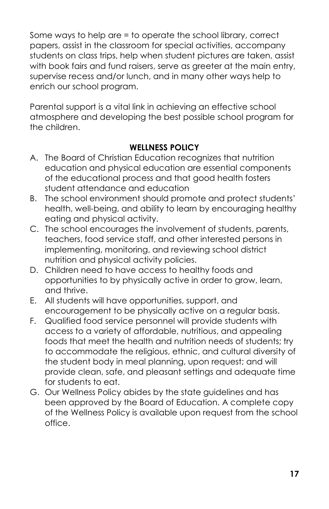Some ways to help are = to operate the school library, correct papers, assist in the classroom for special activities, accompany students on class trips, help when student pictures are taken, assist with book fairs and fund raisers, serve as greeter at the main entry, supervise recess and/or lunch, and in many other ways help to enrich our school program.

Parental support is a vital link in achieving an effective school atmosphere and developing the best possible school program for the children.

# **WELLNESS POLICY**

- A. The Board of Christian Education recognizes that nutrition education and physical education are essential components of the educational process and that good health fosters student attendance and education
- B. The school environment should promote and protect students' health, well-being, and ability to learn by encouraging healthy eating and physical activity.
- C. The school encourages the involvement of students, parents, teachers, food service staff, and other interested persons in implementing, monitoring, and reviewing school district nutrition and physical activity policies.
- D. Children need to have access to healthy foods and opportunities to by physically active in order to grow, learn, and thrive.
- E. All students will have opportunities, support, and encouragement to be physically active on a regular basis.
- F. Qualified food service personnel will provide students with access to a variety of affordable, nutritious, and appealing foods that meet the health and nutrition needs of students; try to accommodate the religious, ethnic, and cultural diversity of the student body in meal planning, upon request; and will provide clean, safe, and pleasant settings and adequate time for students to eat.
- G. Our Wellness Policy abides by the state guidelines and has been approved by the Board of Education. A complete copy of the Wellness Policy is available upon request from the school office.